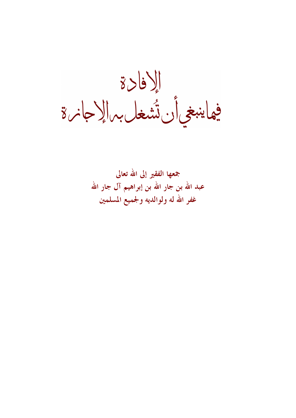إلافادة<br>فهاينبغي أن تُشغل بهالإجانرة

جمعها الفقير إلى الله تعالى عبد الله بن جار الله بن إبراهيم آل جار الله غفر الله له ولوالديه ولجميع المسلمين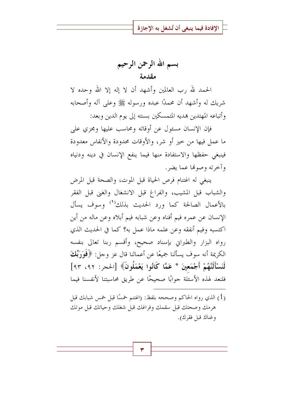بسم الله الرحمن الرحيم مقدمة

الحمد لله , ب العالمين وأشهد أن لا إله إلا الله وحده لا شريك له وأشهد أن محمدًا عبده ورسوله ﷺ وعلى آله وأصحابه وأتباعه المهتدين بمديه المتمسكين بسنته إلى يوم الدين وبعد:

فإن الإنسان مسئول عن أوقاته ومحاسب عليها ومجزى على ما عمل فيها من حير أو شر، والأوقات محدودة والأنفاس معدودة فينبغي حفظها والاستفادة منها فيما ينفع الإنسان في دينه ودنياه وأحرته وصوفيا عما يضر .

ينبغي له اغتنام فرص الحياة قبل الموت، والصحة قبل المرض والشباب قبل المشيب، والفراغ قبل الانشغال والغبي قبل الفقر بالأعمال الصالحة كما ورد الحديث بذلك<sup>(١)</sup> وسوف يسأل الإنسان عن عمره فيم أفناه وعن شبابه فيم أبلاه وعن ماله من أين اكتسبه وفيم أنفقه وعن علمه ماذا عمل به؟ كما في الحديث الذي رواه البزار والطبراني بإسناد صحيح، وأقسم ربنا تعالى بنفسه الكريمة أنه سوف يسألنا جميعًا عن أعمالنا قال عز وجل: ﴿فَوَرَبِّكَ لَنَسْأَلَنَّهُمْ أَجْمَعِينَ \* عَمَّا كَانُوا يَعْمَلُونَ﴾ [الحجر: ٩٢، ٩٣] فلنعد لهذه الأسئلة جوابًا صحيحًا عن طريق محاسبتنا لأنفسنا فيما

(1) الذي رواه الحاكم وصححه بلفظ: (اغتنم خمسًا قبل خمس شبابك قبل هرمك وصحتك قبل سقمك وفراغك قبل شغلك وحياتك قبل موتك وغناك قبل فقرك).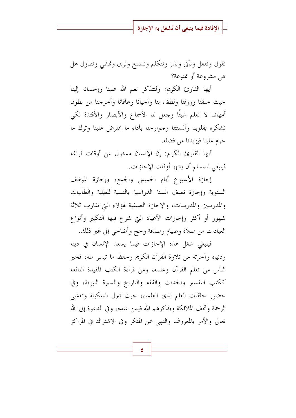نقول ونفعل ونأتي ونذر ونتكلم ونسمع ونرى ونمشى ونتناول هل هي مشروعة أو ممنوعة؟

أيها القارئ الكريم: ولنتذكر نعم الله علينا وإحسانه إلينا حيث خلقنا ورزقنا ولطف بنا وأحيانا وعافانا وأخرجنا من بطون أمهاتنا لا نعلم شيئًا وحعل لنا الأسماع والأبصار والأفندة لكي نشكره بقلوبنا وألسنتنا وجوارحنا بأداء ما افترض علينا وترك ما حرم علينا فيزيدنا من فضله.

أيها القارئ الكريم: إن الإنسان مسئول عن أوقات فراغه فينبغي للمسلم أن ينتهز أوقات الإجازات.

إجازة الأسبوع أيام الخميس والجمع، وإجازة الموظف السنوية وإجازة نصف السنة الدراسية بالنسبة للطلبة والطالبات والمدرسين والمدرسات، والإجازة الصيفية لهؤلاء التي تقارب ثلاثة شهور أو أكثر وإجازات الأعياد التي شرع فيها التكبير وأنواع العبادات من صلاة وصيام وصدقة وحج وأضاحي إلى غير ذلك.

فينبغي شغل هذه الإجازات فيما يسعد الإنسان في دينه ودنياه وأخرته من تلاوة القرآن الكريم وحفظ ما تيسر منه، فخير الناس من تعلم القرآن وعلمه، ومن قراءة الكتب المفيدة النافعة ككتب التفسير والحديث والفقه والتاريخ والسيرة النبوية، وفي حضور حلقات العلم لدى العلماء، حيث تبرل السكينة وتغشى الرحمة وتحف الملائكة ويذكرهم الله فيمن عنده، وفي الدعوة إلى الله تعالى والأمر بالمعروف والنهي عن المنكر وفي الاشتراك في المراكز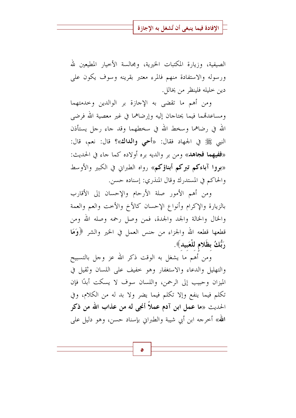الصيفية، وزيارة المكتبات الخيرية، ومجالسة الأخيار المطيعين لله ورسوله والاستفادة منهم فالمرء معتبر بقرينه وسوف يكون على دين خليله فلينظر من يخالل.

ومن أهم ما تقضى به الإحازة بر الوالدين وحدمتهما ومساعدتهما فيما يحتاجان إليه وإرضاهما في غير معصية الله فرضى الله في رضاهما وسخط الله في سخطهما وقد جاء رجل يستأذن النبي ﷺ في الجهاد فقال: «أحي وا**لداك**»؟ قال: نعم، قال: «ففيهما فجاهد» ومن بر والديه بره أولاده كما جاء في الحديث: «بووا آباء**كم تبركم أبناؤكم**» رواه الطبراني في الكبير والأوسط والحاكم في المستدرك وقال المنذري: إسناده حسن.

ومن أهم الأمور صلة الأرحام والإحسان إلى الأقارب بالزيارة والإكرام وأنواع الإحسان كالأخ والأخت والعم والعمة والخال والخالة والجد والجدة، فمن وصل رحمه وصله الله ومن قطعها قطعه الله والجزاء من جنس العمل في الخير والشر ﴿وَمَا رَبُّكُ بظَلام للْعَبيد》.

ومن أهم ما يشغل به الوقت ذكر الله عز وجل بالتسبيح والتهليل والدعاء والاستغفار وهو حفيف على اللسان وثقيل في الميزان وحبيب إلى الرحمن، واللسان سوف لا يسكت أبدًا فإن تكلَّم فيما ينفع وإلا تكلَّم فيما يضرَّ ولا بد له من الكلام، وفي الحديث «ما عمل ابن آدم عملاً أنجى له من عذاب الله من ذكر الله» أخرجه ابن أبي شيبة والطبراني بإسناد حسن، وهو دليل على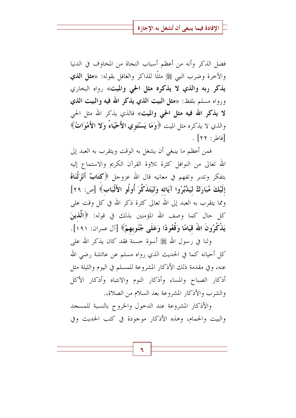فضل الذكر وأنه من أعظم أسباب النجاة من المخاوف في الدنيا والآحرة وضرب النبي ﷺ مثلًا للذاكر والغافل بقوله: «مثل **الذي يذكر ربه والذي لا يذكره مثل الحي والميت»** رواه البخاري ورواه مسلم بلفظ: «مثل البيت الذي يذكر الله فيه والبيت الذي لا يذكر الله فيه مثل الحي والميت» فالذي يذكر الله مثل الحي والذي لا يذكره مثل الميت ﴿وَمَا يَسْتَوِي الأَحْيَاءُ وَلا الأَهْوَاتُ﴾  $\lceil \mathfrak{z} \rceil$ فاط, : ٢٢].

فمن أعظم ما ينبغي أن يشغل به الوقت ويتقرب به العبد إلى الله تعالى من النوافل كثرة تلاوة القرآن الكريم والاستماع إليه بتفكر وتدبر وتفهم في معانيه قال الله عزوجل ﴿كَتَابٌ أَنْزَلْنَاهُ إِلَيْكَ مُبَارَكٌ لِيَدَّبَّرُوا آيَاته وَلَيَتَذَكَّرَ أُولُو الأَلْبَابِ﴾ [ص: ٢٩] ومما يتقرب به العبد إلى الله تعالى كثرة ذكر الله في كل وقت على كل حال كما وصف الله المؤمنين بذلك في قوله: ﴿الْمَلْمِينَ يَذْكُرُونَ اللَّهَ قيَامًا وَقُعُودًا وَعَلَى جُنُوبِهِمْ﴾ [آل عمران: ١٩١].

ولنا في رسول الله ﷺ أسوة حسنة فقد كان يذكر الله على كل أحيانه كما في الحديث الذي رواه مسلم عن عائشة رضي الله عنه، وفي مقدمة ذلك الأذكار المشروعة للمسلم في اليوم والليلة مثل أذكار الصباح والمساء وأذكار النوم والانتباه وأذكار الأكل والشرب والأذكار المشروعة بعد السلام من الصلاة،.

والأذكار المشروعة عند الدحول والخروج بالنسبة للمسجد والبيت والحمام، وهذه الأذكار موجودة في كتب الحديث وفي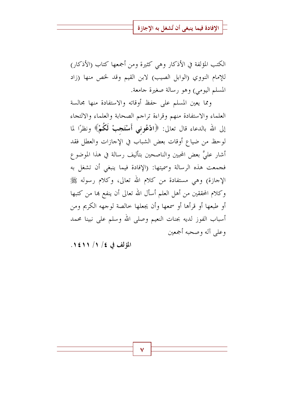الكتب المؤلفة في الأذكار وهي كثيرة ومن أجمعها كتاب (الأذكار) للإمام النووي (الوابل الصيب) لابن القيم وقد لخص منها (زاد المسلم اليومي) وهو رسالة صغيرة جامعة.

ومما يعين المسلم على حفظ أوقاته والاستفادة منها مجالسة العلماء والاستفادة منهم وقراءة تراحم الصحابة والعلماء والالتجاء إلى الله بالدعاء قال تعالى: ﴿ادْعُونِي أَسْتَجِبْ لَكُمْ﴾ ونظرًا لما لوحظ من ضياع أوقات بعض الشباب في الإحازات والعطل فقد أشارٍ عليَّ بعض المحبين والناصحين بتأليف رسالة في هذا الموضوع فجمعت هذه الرسالة وسميتها: (الإفادة فيما ينبغي أن تشغل به الإجازة) وهي مستفادة من كلام الله تعالى، وكلام رسوله ﷺ وكلام المحققين من أهل العلم أسأل الله تعالى أن ينفع بما من كتبها أو طبعها أو قرأها أو سمعها وأن يجعلها حالصة لوجهه الكريم ومن أسباب الفوز لديه بجنات النعيم وصلى الله وسلم على نبينا محمد وعلى آله وصحبه أجمعين

المؤلف في ٤/ ١/ ١٤١١.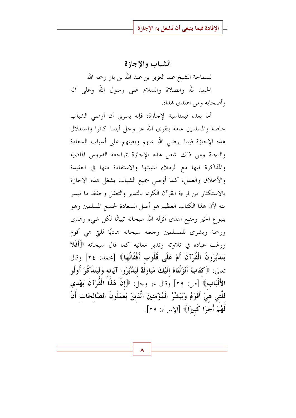الشباب والإجازة لسماحة الشيخ عبد العزيز بن عبد الله بن باز رحمه الله الحمد لله والصلاة والسلام على رسول الله وعلى آله وأصحابه ومن اهتدى بمداه.

أما بعد، فبمناسبة الإجازة، فإنه يسرني أن أوصى الشباب حاصة والمسلمين عامة بتقوى الله عز وجل أينما كانوا واستغلال هذه الإجازة فيما يرضى الله عنهم ويعينهم على أسباب السعادة والنجاة ومن ذلك شغل هذه الإجازة بمراجعة الدروس الماضية والمذاكرة فيها مع الزملاء لتثبيتها والاستفادة منها في العقيدة والأخلاق والعمل، كما أوصى جميع الشباب بشغل هذه الإجازة بالاستكثار من قراءة القرآن الكريم بالتدبر والتعقل وحفظ ما تيسر منه لأن هذا الكتاب العظيم هو أصل السعادة لجميع المسلمين وهو ينبوع الخير ومنبع الهدى أنزله الله سبحانه تبيانًا لكل شيء وهدى ورحمة وبشرى للمسلمين وجعله سبحانه هاديًا للتي هي أقوم ورغب عباده في تلاوته وتدبر معانيه كما قال سبحانه ﴿أَفَلَا يَتَدَبَّرُونَ الْقُرْآنَ أَمْ عَلَى قُلُوبٍ أَقْفَالُهَا﴾ [محمد: ٢٤] وقال تعالى: ﴿كَتَابٌ أَنْزَلْنَاهُ إِلَيْكَ مُبَارَكٌ لَيَدَّبَّرُوا آيَاته وَلَيَتَذَكَّرَ أُولُو الأَلْبَابِ﴾ [ص: ٢٩] وقال عز وجل: ﴿إِنَّ هَذَا الْقُوْ'آنَ يَهْدي للَّتى هيَ أَقْوَمُ وَيُبَشِّرُ الْمُؤْمنينَ الَّذينَ يَعْمَلُونَ الصَّالحَاتِ أَنَّ لَهُمْ أَجْرًا كَبِيرًا﴾ [الإسراء: ٢٩].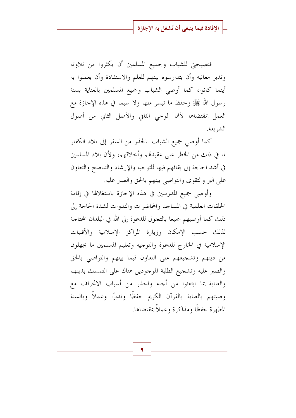فنصيحتي للشباب ولجميع المسلمين أن يكثروا من تلاوته وتدبر معانيه وأن يتدارسوه بينهم للعلم والاستفادة وأن يعملوا به أينما كانوا، كما أوصى الشباب وجميع المسلمين بالعناية بسنة رسول الله ﷺ وحفظ ما تيسر منها ولا سيما في هذه الإجازة مع العمل بمقتضاها لألها الوحى الثاني والأصل الثاني من أصول الشر بعة.

كما أوصى جميع الشباب بالحذر من السفر إلى بلاد الكفار لما في ذلك من الخطر على عقيدتمم وأحلاقهم، ولأن بلاد المسلمين في أشد الحاجة إلى بقائهم فيها للتوجيه والإرشاد والتناصح والتعاون على البر والتقوى والتواصي بينهم بالحق والصبر عليه.

وأوصى جميع المدرسين في هذه الإجازة باستغلالها في إقامة الحلقات العلمية في المساجد والمحاضرات والندوات لشدة الحاجة إلى ذلك كما أوصيهم جميعا بالتجول للدعوة إلى الله في البلدان المحتاجة لذلك حسب الإمكان وزيارة المراكز الإسلامية والأقليات الإسلامية في الخارج للدعوة والتوجيه وتعليم المسلمين ما يجهلون من دينهم وتشجيعهم على التعاون فيما بينهم والتواصي بالحق والصبر عليه وتشجيع الطلبة الموحودين هناك على التمسك بدينهم والعناية بما ابتعثوا من أجله والحذر من أسباب الانحراف مع وصيتهم بالعناية بالقرآن الكريم حفظًا وتدبرًا وعملاً وبالسنة المطهرة حفظًا ومذاكرة وعملاً بمقتضاها.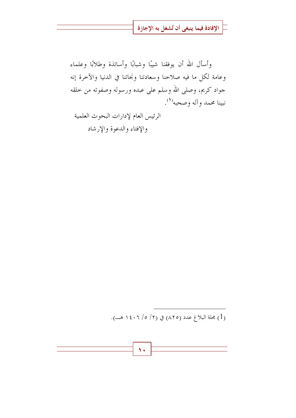وأسأل الله أن يوفقنا شيبًا وشبابًا وأساتذة وطلابًا وعلماء وعامة لكل ما فيه صلاحنا وسعادتنا ونحاتنا في الدنيا والآخرة إنه جواد كريم، وصلى الله وسلم على عبده ورسوله وصفوته من خلقه نبينا محمد وآله وصحبه<sup>(١</sup>).

الرئيس العام لإدارات البحوث العلمية والإفتاء والدعوة والإرشاد

(1) مجلة البلاغ عدد (٨٢٥) في (٢/ ٥/ ١٤٠٦هــ).

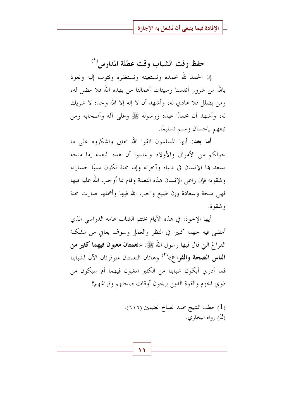حفظ وقت الشباب وقت عطلة المدارس (<sup>١</sup>)

إن الحمد لله نحمده ونستعينه ونستغفره ونتوب إليه ونعوذ بالله من شرور أنفسنا وسيئات أعمالنا من يهده الله فلا مضل له، ومن يضلل فلا هادي له، وأشهد أن لا إله إلا الله وحده لا شريك له، وأشهد أن محمدًا عبده ورسوله ﷺ وعلى آله وأصحابه ومن تبعهم بإحسان وسلم تسليمًا.

**أما بعد:** أيها المسلمون اتقوا الله تعالى واشكروه على ما حولكم من الأموال والأولاد واعلموا أن هذه النعمة إما منحة يسعد بما الإنسان في دنياه وآخرته وإما محنة تكون سببًا لحسارته وشقوته فإن راعى الإنسان هذه النعمة وقام بما أوجب الله عليه فيها فهي منحة وسعادة وإن ضيع واجب الله فيها وأهملها صارت محنة و شقو ة.

أيها الإخوة: في هذه الأيام يختتم الشاب عامه الدراسي الذي أمضى فيه جهدا كبيرا في النظر والعمل وسوف يعاني من مشكلة الفراغ التي قال فيها رسول الله ﷺ: «نعمتان مغبون فيهما كثير من الناس الصحة والفراغ»<sup>(٢)</sup> وهاتان النعمتان متوفرتان الآن لشبابنا فما أدري أيكون شبابنا من الكثير المغبون فيهما أم سيكون من ذوي الحزم والقوة الذين يربحون أوقات صحتهم وفراغهم؟

> (1) خطب الشيخ محمد الصالح العثيمين (٦١١٦). رواه البخاري.  $(2)$

> > ۱۱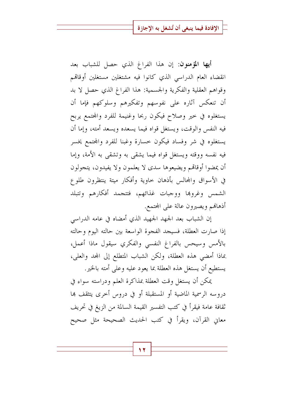أيها المؤمنون: إن هذا الفراغ الذي حصل للشباب بعد انقضاء العام الدراسبي الذي كانوا فيه مشتغلين مستغلين أوقاقمم وقواهم العقلية والفكرية والجسمية: هذا الفراغ الذي حصل لا بد أن تنعكس آثاره على نفوسهم وتفكيرهم وسلوكهم فإما أن يستغلوه في خير وصلاح فيكون ربحا وغنيمة للفرد والمحتمع يربح فيه النفس والوقت، ويستغل قواه فيما يسعده ويسعد أمته، وإما أن يستغلوه في شر وفساد فيكون حسارة وغبنا للفرد والمحتمع يخسر فيه نفسه ووقته ويستغل قواه فيما يشقى به وتشقى به الأمة، وإما أن يمضوا أوقاقمم ويضيعوها سدى لا يعلمون ولا يفيدون، يتجولون في الأسواق والمحالس بأذهان حاوية وأفكار ميتة ينتظرون طلوع الشمس وغروها ووجبات غذائهم، فتتجمد أفكارهم وتتبلد أذهالهم ويصيرون عالة على المحتمع.

إن الشباب بعد الجهد الجهيد الذي أمضاه في عامه الدراسي إذا صارت العطلة، فسيجد الفجوة الواسعة بين حالته اليوم وحالته بالأمس وسيحس بالفراغ النفسي والفكري سيقول ماذا أعمل، بماذا أمضى هذه العطلة، ولكن الشباب المتطلع إلى المحد والعلي، يستطيع أن يستغل هذه العطلة بما يعود عليه وعلى أمته بالخير .

يمكن أن يستغل وقت العطلة بمذاكرة العلم ودراسته سواء في دروسه الرسمية الماضية أو المستقبلة أو في دروس أحرى يتثقف بما ثقافة عامة فيقرأ في كتب التفسير القيمة السالمة من الزيغ في تحريف معاني القرآن، ويقرأ في كتب الحديث الصحيحة مثل صحيح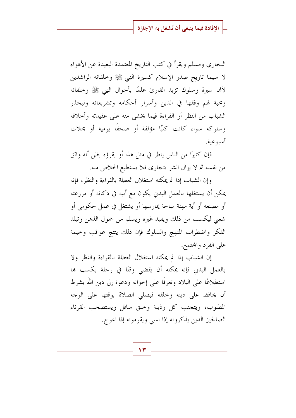البخاري ومسلم ويقرأ في كتب التاريخ المعتمدة البعيدة عن الأهواء لا سيما تاريخ صدر الإسلام كسيرة النبي ﷺ وخلفائه الراشدين لألها سيرة وسلوك تزيد القارئ علمًا بأحوال النبي ﷺ وخلفائه ومحبة لهم وفقها في الدين وأسرار أحكامه وتشريعاته وليحذر الشباب من النظر أو القراءة فيما يخشى منه على عقيدته وأحلاقه وسلوكه سواءٍ كانتٍ كتبًا مؤلَّفةٍ أو صحفًا يوميةٍ أو مجلاتٍ أسبوعية.

فإن كثيرًا من الناس ينظر في مثل هذا أو يقرؤه يظن أنه واثق من نفسه ثم لا يزال الشر يتجارى فلا يستطيع الخلاص منه.

وإن الشباب إذا لم يمكنه استغلال العطلة بالقراءة والنظر، فإنه يمكن أن يستغلها بالعمل البدين يكون مع أبيه في دكانه أو مزرعته أو مصنعه أو أية مهنة مباحة يمارسها أو يشتغل في عمل حكومي أو شعبي ليكسب من ذلك ويفيد غيره ويسلم من خمول الذهن وتبلد الفكر واضطراب المنهج والسلوك فإن ذلك ينتج عواقب وحيمة على الفرد والمحتمع.

إن الشباب إذا لم يمكنه استغلال العطلة بالقراءة والنظر ولا بالعمل البدن فإنه يمكنه أن يقضي وقتًا في رحلة يكسب ها استطلاعًا على البلاد وتعرفًا على إخوانه ودعوة إلى دين الله بشرط أن يحافظ على دينه وحلقه فيصلى الصلاة بوقتها على الوحه المطلوب، ويتجنب كل رذيلة وخلق سافل ويستصحب القرناء الصالحين الذين يذكرونه إذا نسبي ويقومونه إذا اعوج.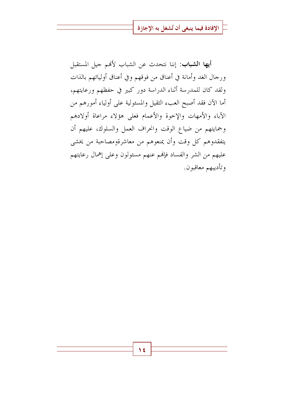أيها الشباب: إننا نتحدث عن الشباب لأفم جيل المستقبل ورحال الغد وأمانة في أعناق من فوقهم وفي أعناق أوليائهم بالذات ولقد كان للمدرسة أثناء الدراسة دور كبير في حفظهم ورعايتهم، أما الآن فقد أصبح العبء الثقيل والمسئولية على أولياء أمورهم من الآباء والأمهات والإخوة والأعمام فعلى هؤلاء مراعاة أولادهم وحمايتهم من ضياع الوقت وانحراف العمل والسلوك، عليهم أن يتفقدوهم كل وقت وأن يمنعوهم من معاشرةومصاحبة من يخشى عليهم من الشر والفساد فإفمم عنهم مسئولون وعلى إهمال رعايتهم وتأديبهم معاقبون.

1٤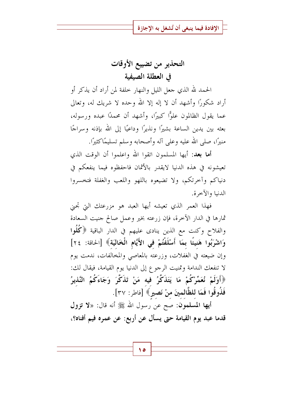# التحذير من تضييع الأوقات في العطلة الصيفية

الحمد لله الذي حعل الليل والنهار خلفة لمن أراد أن يذكر أو أراد شكورًا وأشهد أن لا إله إلا الله وحده لا شريك له، وتعالى عما يقول الظالمون علوًّا كبيرًا، وأشهد أن محمدًا عبده ورسوله، بعثه بين يدين الساعة بشيرًا ونذيرًا وداعيًا إلى الله بإذنه وسراجًا منيرًا، صلى الله عليه وعلى آله وأصحابه وسلم تسليمًاكثيرًا.

**أما بعد:** أيها المسلمون اتقوا الله واعلموا أن الوقت الذي تعيشونه في هذه الدنيا لايقدر بالأثمان فاحفظوه فيما ينفعكم في دنياكم وأخرتكم، ولا تضيعوه باللهو واللعب والغفلة فتخسروا الدنيا والآخرة.

فهذا العمر الذي تعيشه أيها العبد هو مزرعتك التي تحني ثمارها في الدار الآخرة، فإن زرعته بخير وعمل صالح جنيت السعادة والفلاح وكنت مع الذين ينادى عليهم في الدار الباقية ﴿كُلُوا وَاشْرَبُوا هَنيئًا بِمَا أَسْلَفْتُمْ في الأَيَّامِ الْخَالَيَةِ﴾ [الحاقة: ٢٤] وإن ضيعته في الغفلات، وزرعته بالمعاصي والمخالفات، ندمت يوم لا تنفعك الندامة وتمنيت الرجوع إلى الدنيا يوم القيامة، فيقال لك: ﴿أَوَلَمْ نُعَمِّرْكُمْ مَا يَتَذَكَّرُ فِيه مَنْ تَذَكَّرَ وَجَاءَكُمُ النَّذيرُ فَذُوقُوا فَمَا للظَّالمينَ منْ نَصيرٍ﴾ [فاطر: ٣٧].

أيها المسلمون: صح عن رسول الله ﷺ أنه قال: «لا تزول قدما عبد يوم القيامة حتى يسأل عن أربع: عن عمره فيم أفناه؟،

ه ۱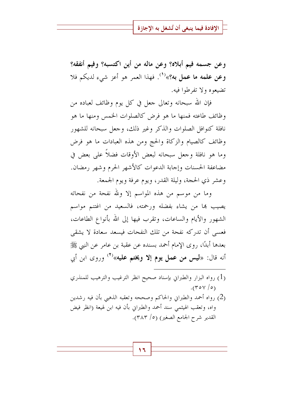وعن جسمه فيم أبلاه؟ وعن ماله من أين اكتسبه؟ وفيم أنفقه؟ وعن علمه ما عمل به؟»<sup>(١)</sup>. فهذا العمر هو أعز شيء لديكم فلا تضيعوه ولا تفرطوا فيه.

فإن الله سبحانه وتعالى جعل في كل يوم وظائف لعباده من وظائف طاعته فمنها ما هو فرض كالصلوات الخمس ومنها ما هو نافلة كنوافل الصلوات والذكر وغير ذلك، وجعل سبحانه للشهور وظائف كالصيام والزكاة والحج ومن هذه العبادات ما هو فرض وما هو نافلة وجعل سبحانه لبعض الأوقات فضلاً على بعض في مضاعفة الحسنات وإجابة الدعوات كالأشهر الحرم وشهر رمضان. وعشر ذي الحجة، وليلة القدر، ويوم عرفة ويوم الجمعة.

وما من موسم من هذه المواسم إلا ولله نفحة من نفحاته يصيب ها من يشاء بفضله ورحمته، فالسعيد من اغتنم مواسم الشهور والأيام والساعات، وتقرب فيها إلى الله بأنواع الطاعات، فعسى أن تدركه نفحة من تلك النفحات فيسعد سعادة لا يشقى بعدها أبدًا، روى الإمام أحمد بسنده عن عقبة بن عامرٍ عن النبي ﷺ أنه قال: «ليس من عمل يوم إلا ويختم عليه»<sup>(٢)</sup> وروى ابن أبي

- (1) رواه البزار والطبراني بإسناد صحيح انظر الترغيب والترهيب للمنذري  $.(\text{row}/\text{or})$
- (2) رواه أحمد والطبراني والحاكم وصححه وتعقبه الذهبي بأن فيه رشدين واه، وتعقب الهيثمي سند أحمد والطبراني بأن فيه ابن لهيعة (انظر فيض القدير شرح الجامع الصغير) (٥/ ٣٨٣).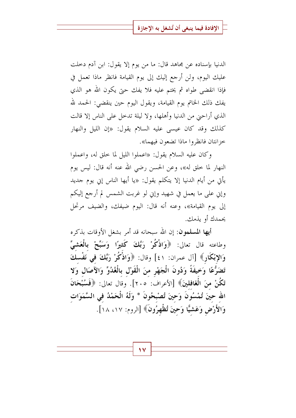الدنيا بإسناده عن مجاهد قال: ما من يوم إلا يقول: ابن آدم دخلت عليك اليوم، ولن أرجع إليك إلى يوم القيامة فانظر ماذا تعمل في فإذا انقضى طواه ثم يختم عليه فلا يفك حتى يكون الله هو الذي يفك ذلك الخاتم يوم القيامة، ويقول اليوم حين ينقضي: الحمد لله الذي أراحيٰ من الدنيا وأهلها، ولا ليلة تدخل على الناس إلا قالت كذلك وقد كان عيسى عليه السلام يقول: «إن الليل والنهار خزانتان فانظروا ماذا تضعون فيهما».

وكان عليه السلام يقول: «اعملوا الليل لما حلق له، واعملوا النهار لما خلق له»، وعن الحسن رضي الله عنه أنه قال: ليس يوم يأتي من أيام الدنيا إلا يتكلم يقول: «يا أيها الناس إني يوم جديد وإين على ما يعمل في شهيد وإين لو غربت الشمس لم أرجع إليكم إلى يوم القيامة»، وعنه أنه قال: اليوم ضيفك، والضيف مرتحل يحمدك أو يذمك.

أيها المسلمون: إن الله سبحانه قد أمر بشغل الأوقات بذكره وطاعته قال تعالى: ﴿وَاذْكُرْ رَبَّكَ كَثِيرًا وَسَبِّحْ بِالْعَشِيِّ وَالإِبْكَارِ﴾ [آل عمران: ٤١] وقال: ﴿وَاذْكُرْ رَبَّكَ فِي نَفْسِكَ تَضَرُّعًا وَخِيفَةً وَدُونَ الْجَهْرِ منَ الْقَوْلِ بِالْغُدُوِّ وَالآصَالِ وَلا تَكُنْ منَ الْغَافلينَ﴾ [الأعراف: ٢٠٥]. وقال تعالى: ﴿فَسُبْحَانَ الله حينَ تُمْسُونَ وَحينَ تُصْبحُونَ \* وَلَهُ الْحَمْدُ في السَّمَوَات وَالأَرْضِ وَعَشَيًّا وَحينَ تُظْهِرُونَ﴾ [الروم: ١٧، ١٨].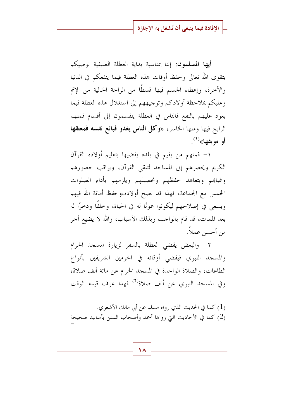أيها المسلمون: إننا بمناسبة بداية العطلة الصيفية نوصيكم بتقوى الله تعالى وحفظ أوقات هذه العطلة فيما ينفعكم في الدنيا والآخرة، وإعطاء الجسم فيها قسطًا من الراحة الخالية من الإثم وعليكم بملاحظة أولادكم وتوجيههم إلى استغلال هذه العطلة فيما يعود عليهم بالنفع فالناس في العطلة ينقسمون إلى أقسام فمنهم الرابح فيها ومنها الخاسر، «وكل ا**لناس يغدو فبائع نفسه فمعتقها** أو موبقها»<sup>(۱)</sup>.

١- فمنهم من يقيم في بلده يقضيها بتعليم أولاده القرآن الكريم ويحضرهم إلى المساحد لتلقى القرآن، ويراقب حضورهم وغياهم ويتعاهد حفظهم وتحصيلهم ويلزمهم بأداء الصلوات الخمس مع الجماعة، فهذا قد نصح أولاده،وحفظ أمانة الله فيهم ويسعى في إصلاحهم ليكونوا عونًا له في الحياة، وخلفًا وذخرًا له بعد الممات، قد قام بالواحب وبذلك الأسباب، والله لا يضيع أحر من أحسن عملاً.

٢- والبعض يقضى العطلة بالسفر لزيارة المسجد الحرام والمسجد النبوي فيقضى أوقاته في الحرمين الشريفين بأنواع الطاعات، والصلاة الواحدة في المسجد الحرام عن مائة ألف صلاة، وفي المسجد النبوي عن ألف صلاة<sup>(٢)</sup> فهذا عرف قيمة الوقت

(1) كما في الحديث الذي رواه مسلم عن أبي مالك الأشعري. (2) كما في الأحاديث التي رواها أحمد وأصحاب السنن بأسانيد صحيحة

18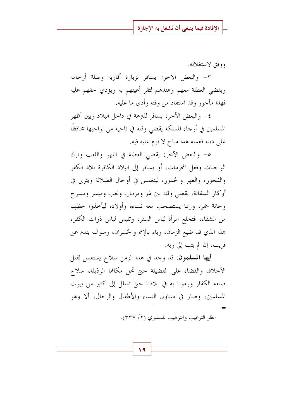ووفق لاستغلاله.

٣- والبعض الآخر: يسافر لزيارة أقاربه وصلة أرحامه ويقضى العطلة معهم وعندهم لتقر أعينهم به ويؤدي حقهم عليه فهذا مأجور وقد استفاد من وقته وأدى ما عليه.

٤– والبعض الآحر: يسافر للنزهة في داخل البلاد وبين أظهر المسلمين في أرجاء المملكة يقضى وقته في ناحية من نواحيها محافظًا على دينه فعمله هذا مباح لا لوم عليه فيه.

٥- والبعض الآخر: يقضى العطلة في اللهو واللعب وترك الواجبات وفعل المحرمات، أو يسافر إلى البلاد الكافرة بلاد الكفر والفجور، والعهر والخمور، لينغمس في أوحال الضلالة ويتربى في أوكار السفالة، يقضى وقته بين لهو ومزمار، ولعب وميسر ومسرح وحانة خمر، وربما يستصحب معه نساءه وأولاده ليأحذوا حظهم من الشقاء، فتخلع المرأة لباس الستر، وتلبس لباس ذوات الكفر، هذا الذي قد ضيع الزمان، وباء بالإثم والخسران، وسوف يندم عن قريب، إن لم يتب إلى ربه.

أيها المسلمون: قد وحد في هذا الزمن سلاح يستعمل لقتل الأحلاق والقضاء على الفضيلة حتى تحل مكانها الرذيلة، سلاح صنعه الكفار ورمونا به في بلادنا حتى تسلل إلى كثير من بيوت المسلمين، وصار في متناول النساء والأطفال والرجال، ألا وهو

انظر الترغيب والترهيب للمنذري (٢/ ٣٣٧).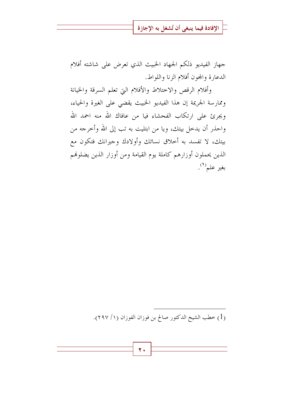جهاز الفيديو ذلكم الجهاد الخبيث الذي تعرض على شاشته أفلام الدعارة والمحون أفلام الزنا واللواط.

وأفلام الرقص والاختلاط والأفلام التي تعلم السرقة والخيانة وممارسة الجريمة إن هذا الفيديو الخبيث يقضى على الغيرة والحياء، ويجرئ على ارتكاب الفحشاء فيا من عافاك الله منه احمد الله واحذر أن يدحل بيتك، ويا من ابتليت به تب إلى الله وأحرجه من بيتك، لا تفسد به أحلاق نسائك وأولادك وجيرانك فتكون مع الذين يحملون أوزارهم كاملة يوم القيامة ومن أوزار الذين يضلونهم بغير علم``.

(1) خطب الشيخ الدكتور صالح بن فوزان الفوزان (١/ ٢٩٧).

۲.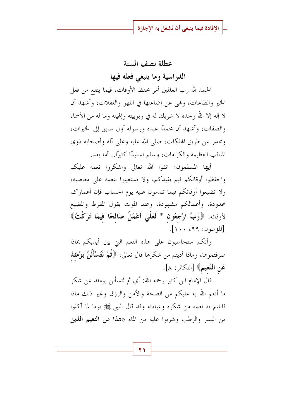#### عطلة نصف السنة

الدراسية وما ينبغي فعله فيها

الحمد لله رب العالمين أمر بحفظ الأوقات، فيما ينفع من فعل الخير والطاعات، وفمي عن إضاعتها في اللهو والغفلات، وأشهد أن لا إله إلا الله وحده لا شريك له في ربوبيته وإلهيته وما له من الأسماء والصفات، وأشهد أن محمدًا عبده ورسوله أول سابق إلى الخيرات، ومحذر عن طريق الهلكات، صلى الله عليه وعلى آله وأصحابه ذوى المناقب العظيمة والكرامات، وسلم تسليمًا كثيرًا.. أما بعد.

أيها المسلمون: اتقوا الله تعالى واشكروا نعمه عليكم واحفظوا أوقاتكم فيم يفيدكم، ولا تستعينوا بنعمه على معاصيه، ولا تضيعوا أوقاتكم فيما تندمون عليه يوم الحساب فإن أعماركم محدودة، وأعمالكم مشهودة، وعند الموت يقول المفرط والمضيع لأوقاته: ﴿رَبِّ ارْجِعُونَ \* لَعَلِّي أَعْمَلُ صَالحًا فِيمَا تَرَكْتُ﴾ [المؤمنون: ٩٩، ١٠٠].

وأنكم ستحاسبون على هذه النعم التي بين أيديكم بماذا صرفتموها، وماذا أديتم من شكرها قال تعالى: ﴿ثُمَّ لَتُسْأَلُنَّ يَوْمَئِذ عَنِ النَّعيمِ﴾ [التكاثر: ٨].

قال الإمام ابن كثير رحمه الله: أي ثم لتسألن يومئذ عن شكر ما أنعم الله به عليكم من الصحة والأمن والرزق وغير ذلك ماذا قابلتم به نعمه من شكره وعبادته وقد قال النبي ﷺ يوما لما أكلوا من البسر والرطب وشربوا عليه من الماء «هذا من ا**لنعيم الذين**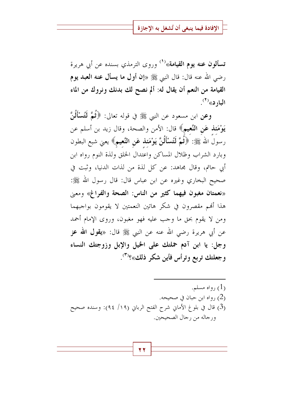تسألون عنه يوم القيامة»<sup>(١)</sup> وروى الترمذي بسنده عن أبي هريرة رضي الله عنه قال: قال النبي ﷺ «إن أول ما يسأل عنه العبد يوم القيامة من النعم أن يقال له: ألم نصح لك بدنك ونروك من الماء  $\mathcal{L}^{(7)}$ اليارد»

وعن ابن مسعود عن النبي ﷺ في قوله تعالى: ﴿ثُمَّ لَتُسْأَلُنَّ يَوْمَعَذِ عَنِ النَّعيمِ﴾ قال: الأمن والصحة، وقال زيد بن أسلم عن رسولُ الله ﷺ: ﴿**ثُمَّ لَتُسْأَلُنَّ يَوْمَنذ عَنِ النَّعيمِ**﴾ يعني شبع البطون وبارد الشراب وظلال المساكن واعتدال الخلق ولذة النوم رواه ابن أبي حاتم، وقال مجاهد: عن كل لذة من لذات الدنيا، وثبت في صحيح البخاري وغيره عن ابن عباس قال: قال رسول الله ﷺ: «نعمتان مغبون فيهما كثير من الناس: الصحة والفراغ» ومعي هذا ألهم مقصرون في شكر هاتين النعمتين لا يقومون بواجبهما ومن لا يقوم بحق ما وجب عليه فهو مغبون، وروى الإمام أحمد عن أبي هريرة رضي الله عنه عن النبي ﷺ قال: «**يقول الله عز** وجل: يا ابن آدم حملتك على الخيل والإبل وزوجتك النساء وجعلتك تربع وترأس فأين شكر ذلك»؟<sup>(٣)</sup>.

رواه مسلم.  $(1)$ (2) رواه ابن حبان في صحيحه. (3) قال في بلوغ الأماني شرح الفتح الرباني (١٩/ ٩٤): وسنده صحيح ورجاله من رجال الصحيحين.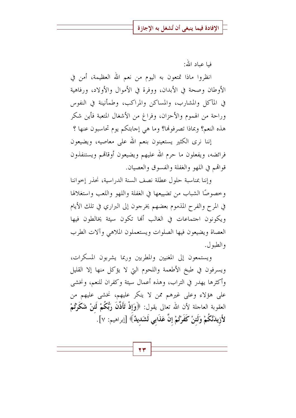فيا عياد الله:

انظروا ماذا تمتعون به اليوم من نعم الله العظيمة، أمن في الأوطان وصحة في الأبدان، ووفرة في الأموال والأولاد، ورفاهية في المآكل والمشارب، والمساكن والمراكب، وطمأنينة في النفوس وراحة من الهموم والأحزان، وفراغ من الأشغال المتعبة فأين شكر هذه النعم؟ وبماذا تصرفولها؟ وما هي إجابتكم يوم تحاسبون عنها ؟

إننا نرى الكثير يستعينون بنعم الله على معاصيه، ويضيعون فرائضه، ويفعلون ما حرم الله عليهم ويضيعون أوقاقم ويستنفذون قوالهم في اللهو والغفلة والفسوق والعصيان.

وإننا بمناسبة حلول عطلة نصف السنة الدراسية، نحذر إحواننا وخصوصًا الشباب من تضييعها في الغفلة واللهو واللعب واستغلالها في المرح والفرح المذموم بعضهم يخرجون إلى البراري في تلك الأيام ويكونون اجتماعات في الغالب ألها تكون سيئة يخالطون فيها العصاة ويضيعون فيها الصلوات ويستعملون الملاهي وآلات الطرب والطبول.

ويستمعون إلى المغنيين والمطربين وربما يشربون المسكرات، ويسرفون في طبخ الأطعمة واللحوم التي لا يؤكل منها إلا القليل وأكثرها يهدر في التراب، وهذه أعمال سيئة وكفران للنعم، ونخشى على هؤلاء وعلى غيرهم ممن لا ينكر عليهم، نخشى عليهم من العقوبة العاجلة لأن الله تعالى يقول: ﴿وَإِذْ تَأَذَّنَ رَبُّكُمْ لَعَنْ شَكَرَّتُمْ لأَزيدَنَّكُمْ وَلَئنْ كَفَرْتُمْ إنَّ عَذَابي لَشَديدٌ﴾ [إبراهيم: ٧].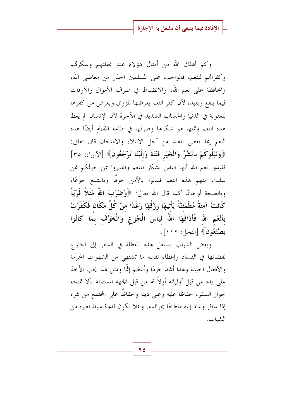وكم أهلك الله من أمثال هؤلاء عند غفلتهم وسكرتمم وكفرالهم للنعم، فالواحب على المسلمين الحذر من معاصى الله، والمحافظة على نعم الله، والانضباط في صرف الأموال والأوقات فيما ينفع ويفيد، لأن كفر النعم يعرضها للزوال ويعرض من كفرها للعقوبة في الدنيا والحساب الشديد في الآخرة لأن الإنسان لم يعط هذه النعم وثمنها هو شكرها وصرفها في طاعة الله،ثم أيضًا هذه النعم إنما تعطي للعبد من أجل الابتلاء والامتحان قال تعالى: ﴿وَنَبْلُوكُمْ بِالشَّرِّ وَالْخَيْرِ فَتْنَةً وَإِلَيْنَا تُرْجَعُونَ﴾ [الأنبياء: ٣٥] فقيدوا نعم الله أيها الناس بشكر المنعم واعتبروا بمن حولكم ممن سلبت منهم هذه النعم فبدلوا بالأمن خوفًا وبالشبع جوعًا، وبالصحة أوجاعًا كما قال الله تعالى: ﴿وَضَوَبَ اللَّهُ مَثَلاً قَوْيَةً كَانَتْ آمنَةً مُطْمَئنَّةً يَأْتِيهَا رِزْقُهَا رَغَدًا منْ كُلِّ مَكَانٍ فَكَفَرَتْ بِأَنْعُمِ اللهُ فَأَذَاقَهَا اللهُ لَبَاسَ الْجُوعِ وَالْخَوْفِ بِمَا كَانُوا يَصْنَعُونَ﴾ [النحل: ١١٢].

وبعض الشباب يستغل هذه العطلة في السفر إلى الخارج لقضائها في الفساد وإعطاء نفسه ما تشتهي من الشهوات المحرمة والأفعال الخبيثة وهذا أشد جرمًا وأعظم إثمًا ومثل هذا يجب الأخذ على يده من قبل أوليائه أولاً ثم من قبل الجهة المسئولة بألا تمنحه جواز السفر، حفاظا عليه وعلى دينه وحفاظًا على المجتمع من شره إذا سافر وعاد إليه ملطخًا بجرائمه، ولئلا يكون قدوة سيئة لغيره من الشياب.

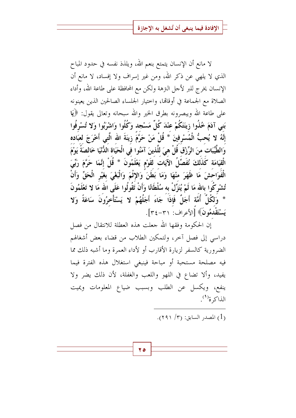لا مانع أن الإنسان يتمتع بنعم الله، ويلذذ نفسه في حدود المباح الذي لا يلهي عن ذكر الله، ومن غير إسراف ولا إفساد، لا مانع أن الإنسان يخرج للبر لأحل النزهة ولكن مع المحافظة على طاعة الله، وأداء الصلاة مع الجماعة في أوقالها، واختيار الجلساء الصالحين الذين يعينونه على طاعة الله ويبصرونه بطرق الخير والله سبحانه وتعالى يقول: ﴿يَا بَنى آدَمَ خُذُوا زينَتَكُمْ عنْدَ كُلِّ مَسْجد وَكُلُوا وَاشْرَبُوا وَلا تُسْرِفُوا إِنَّهُ لا يُحبُّ الْمُسْرِفِينَ \* قُلْ مَنْ حَرَّمَ زِينَةَ الله الَّتِي أَخْرَجَ لعبَاده وَالطَّيِّبَات منَ الرِّزْق قُلْ هيَ للَّذينَ آمَنُوا في الْحَيَاة اللُّنْيَا خَالصَةً يَوْمَ الْقِيَامَة كَذَلكَ نُفَصِّلُ الآيَات لَقَوْم يَعْلَمُونَ \* قُلْ إِنَّمَا حَرَّمَ رَبِّيَ الْفَوَاحشَ مَا ظَهَرَ منْهَا وَمَا بَطَنَ وَالإِثْمَ وَالْبَغْيَ بِغَيْرِ الْحَقِّ وَأَنْ تُشْرِكُوا بِالله مَا لَمْ يُنَزِّلْ بِهِ سُلْطَانًا وَأَنْ تَقُولُوا عَلَى الله مَا لا تَعْلَمُونَ \* وَلكُلِّ أُمَّة أَجَلٌ فَإِذَا جَاءَ أَجَلُهُمْ لا يَسْتَأْخِرُونَ سَاعَةً وَلا يَسْتَقْدُمُونَ﴾ [الأعراف: ٣١–٣٤].

إن الحكومة وفقها الله جعلت هذه العطلة للانتقال من فصل دراسي إلى فصل آخر، ولتمكين الطلاب من قضاء بعض أشغالهم الضرورية كالسفر لزيارة الأقارب أو لأداء العمرة وما أشبه ذلك مما فيه مصلحة مستحبة أو مباحة فينبغي استغلال هذه الفترة فيما يفيد، وألا تضاع في اللهو واللعب والغفلة، لأن ذلك يضر ولا ينفع، ويكسل عن الطلب وبسبب ضياع المعلومات ويميت الذاكرة<sup>(١</sup>).

$$
. (111/7) : (1)
$$

ه ۲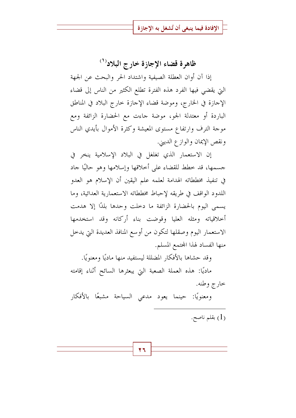ظاهرة قضاء الإجازة خارج البلاد<sup>(١)</sup>

إذا آن أوان العطلة الصيفية واشتداد الحر والبحث عن الجهة التي يقضي فيها الفرد هذه الفترة تطلع الكثير من الناس إلى قضاء الإحازة في الخارج، وموضة قضاء الإحازة حارج البلاد في المناطق الباردة أو معتدلة الجو، موضة جاءت مع الحضارة الزائفة ومع موجة الترف وارتفاع مستوى المعيشة وكثرة الأموال بأيدي الناس ونقص الإيمان والوازع الديني.

إن الاستعمار الذي تغلغل في البلاد الإسلامية ينخر في جسمها، قد خطط للقضاء على أخلاقها وإسلامها وهو حاليًا جاد في تنفيذ مخططاته الهدامة لعلمه علم اليقين أن الإسلام هو العدو اللدود الواقف في طريقه لإحباط مخططاته الاستعمارية العدائية، وما يسمى اليوم بالحضارة الزائفة ما دخلت وحدها بلدًا إلا هدمت أخلاقياته ومثله العليا وقوضت بناء أركانه وقد استخدمها الاستعمار اليوم وصقلها لتكون من أوسع المنافذ العديدة التي يدخل منها الفساد لهذا المجتمع المسلم.

وقد حشاها بالأفكار المضللة ليستفيد منها ماديًا ومعنويًا.

ماديًا: هذه العملة الصعبة التي يبعثرها السائح أثناء إقامته خارج وطنه.

ومعنويًا: حينما يعود مدعى السياحة مشبعًا بالأفكار (1) بقلم ناصح.

27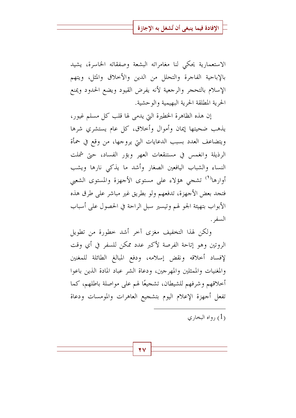الاستعمارية يحكى لنا مغامراته البشعة وصفقاته الخاسرة، يشيد بالإباحية الفاحرة والتحلل من الدين والأخلاق والمثل، ويتهم الإسلام بالتحجر والرجعية لأنه يفرض القيود ويضع الحدود ويمنع الحرية المطلقة الحرية البهيمية والوحشية.

إن هذه الظاهرة الخطيرة التي يدمي لها قلب كل مسلم غيور، يذهب ضحيتها إيمان وأموال وأحلاق، كل عام يستشري شرها ويتضاعف العدد بسبب الدعايات التي يروجها، من وقع في حمأة الرذيلة وانغمس في مستنقعات العهر وبؤر الفساد، حتى شملت النساء والشباب اليافعين الصغار وأشد ما يذكى نارها ويشب أوارها<sup>(١)</sup> تشجى هؤلاء على مستوى الأجهزة والمستوى الشعبي فتجد بعض الأجهزة، تدفعهم ولو بطريق غير مباشر على طرق هذه الأبواب بتهيئة الجو لهم وتيسير سبل الراحة في الحصول على أسباب السفر .

ولكن لهذا التخفيف مغزى آحر أشد حطورة من تطويل الروتين وهو إتاحة الفرصة لأكبر عدد ممكن للسفر في أي وقت لإفساد أخلاقه ونقض إسلامه، ودفع المبالغ الطائلة للمغنين والمغنيات والممثلين والمهرجين، ودعاة الشر عباد المادة الذين باعوا أخلاقهم وشرفهم للشيطان، تشجيعًا لهم على مواصلة باطلهم، كما تفعل أجهزة الإعلام اليوم بتشجيع العاهرات والمومسات ودعاة

ر1) , واه البخاري (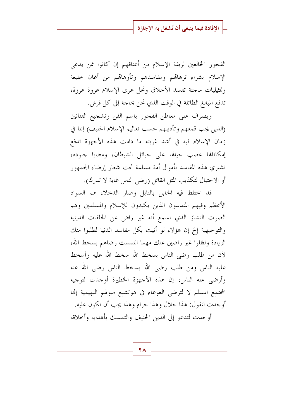الفجور الخالعين لربقة الإسلام من أعناقهم إن كانوا ممن يدعى الإسلام بشراء ترهاقمم ومفاسدهم وتأوهاقمم من أغان حليعة وتمثيليات ماجنة تفسد الأحلاق وتحل عرى الإسلام عروة عروة، تدفع المبالغ الطائلة في الوقت الذي نحن بحاجة إلى كل قرش.

ويصرف على معاطن الفجور باسم الفن وتشجيع الفنانين (الذين يجب قمعهم وتأديبهم حسب تعاليم الإسلام الحنيف) إننا في زمان الإسلام فيه في أشد غربته ما دامت هذه الأجهزة تدفع إمكاناتها عصب حيالها على حبائل الشيطان، ومطايا جنوده، تشتري هذه المفاسد بأموال أمة مسلمة تحت شعار إرضاء الجمهور أو الاحتيال لتكذيب المثل القائل (رضى الناس غاية لا تدرك).

قد اختلط فيه الحابل بالنابل وصار الدخلاء هم السواد الأعظم وفيهم المندسون الذين يكيدون للإسلام والمسلمين وهم الصوت النشاز الذي نسمع أنه غير راض عن الحلقات الدينية والتوجيهية إلخ إن هؤلاء لو أتيت بكل مفاسد الدنيا لطلبوا منك الزيادة ولظلوا غير راضين عنك مهما التمست رضاهم بسخط الله، لأن من طلب رضي الناس بسخط الله سخط الله عليه وأسخط عليه الناس ومن طلب رضي الله بسخط الناس رضي الله عنه وأرضى عنه الناس، إن هذه الأجهزة الخطيرة أوجدت لتوجيه المحتمع المسلم لا لترضى الغوغاء في هوتشبع ميولهم البهيمية إنها أوجدت لتقول: هذا حلال وهذا حرام وهذا يجب أن تكون عليه. أوجدت لتدعو إلى الدين الحنيف والتمسك بأهدابه وأحلاقه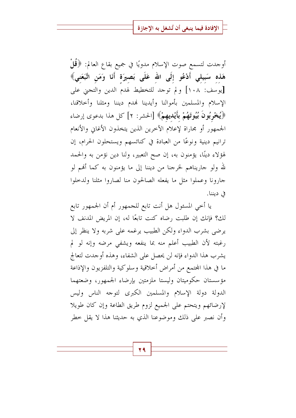أوجدت لتسمع صوت الإسلام مدويًا في جميع بقاع العالم: ﴿قُلْ هَذه سَبِيلي أَدْعُو إِلَى الله عَلَى بَصِيرَة أَنَا وَمَن اتَّبَعَني﴾ [يوسف: ١٠٨] ولم توجد للتخطيط لهدم الدين والتجني على الإسلام والمسلمين بأموالنا وأيدينا نهدم ديننا ومثلنا وأحلاقنا، ﴿يُخْرِبُونَ بُيُوتَهُمْ بِأَيْدِيهِمْ﴾ [الحشر: ٢] كل هذا بدعوى إرضاء الجمهور أو مجاراة لإعلام الآخرين الذين يتخذون الأغاني والأنعام ترانيم دينية ونوعًا من العبادة في كنائسهم ويستحلون الحرام، إن لهؤلاء دينًا، يؤمنون به، إن صح التعبير، ولنا دين نؤمن به والحمد لله ولو جاريناهم لخرجنا من ديننا إلى ما يؤمنون به كما أُهُم لو جارونا وعملوا مثل ما يفعله الصالحون منا لصاروا مثلنا ولدحلوا في ديننا.

يا أخي المسئول هل أنت تابع للجمهور أم أن الجمهور تابع لكِ؟ فإنك إن طلبت رضاه كنت تابعًا له، إن المريض المدنف لا يرضى بشرب الدواء ولكن الطبيب يرغمه على شربه ولا ينظر إلى رغبته لأن الطبيب أعلم منه بما ينفعه ويشفى مرضه وإنه لو لم يشرب هذا الدواء فإنه لن يحصل على الشفاء، وهذه أوجدت لتعالج ما في هذا المحتمع من أمراض أخلاقية وسلوكية والتلفزيون والإذاعة مؤسستان حكوميتان وليستا ملزمتين بإرضاء الجمهور، وضعتهما الدولة دولة الإسلام والمسلمين الكبرى لتوحه الناس وليس لإرضائهم ويتحتم على الجميع لزوم طريق الطاعة وإن كان طويلا وأن نصبر على ذلك وموضوعنا الذي به حديثنا هذا لا يقل خطر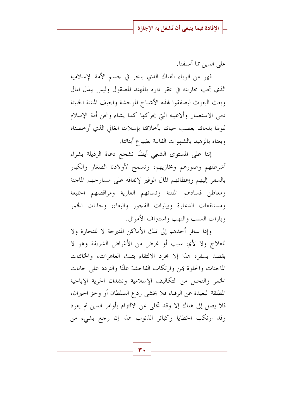على الدين مما أسلفنا.

فهو من الوباء الفتاك الذي ينخر في جسم الأمة الإسلامية الذي تجب محاربته في عقر داره بالمهند المصقول وليس ببذل المال وبعث البعوث ليصفقوا لهذه الأشباح الموحشة والجيف المنتنة الخبيثة دمى الاستعمار وألاعيبه التي يحركها كما يشاء ونحن أمة الإسلام نمولها بدمائنا بعصب حياتنا بأخلاقنا بإسلامنا الغالي الذي أرخصناه وبعناه بالزهيد بالشهوات الفانية بضياع أبنائنا.

إننا على المستوى الشعبي أيضًا نشجع دعاة الرذيلة بشراء أشرطتهم وصورهم ومخازيهم، ونسمح لأولادنا الصغار والكبار بالسفر إليهم وإعطائهم المال الوفير لإنفاقه على مسارحهم الماجنة ومعاطن فسادهم المنتنة ونسائهم العارية ومراقصهم الخليعة ومستنقعات الدعارة وبيارات الفجور والبغاء، وحانات الخمر وبارات السلب والنهب واستنزاف الأموال.

وإذا سافر أحدهم إلى تلك الأماكن المتبرجة لا للتجارة ولا للعلاج ولا لأي سبب أو غرض من الأغراض الشريفة وهو لا يقصد بسفره هذا إلا مجرد الالتقاء بتلك العاهرات، والخائنات الماجنات والخلوة بهن وارتكاب الفاحشة علنًا والتردد على حانات الخمر والتحلل من التكاليف الإسلامية ونشدان الحرية الإباحية المطلقة البعيدة عن الرقباء فلا يخشى ردع السلطان أو وخز الجيران، فلا يصل إلى هناك إلا وقد تخلي عن الالتزام بأوامر الدين ثم يعود وقد ارتكب الخطايا وكبائر الذنوب هذا إن رجع بشيء من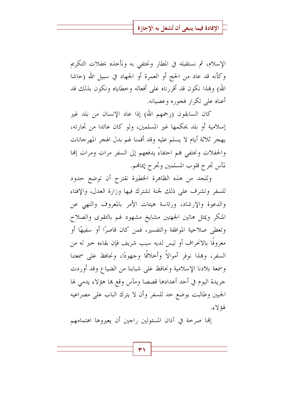الإسلام، ثم نستقبله في المطار ونحتفي به ونأحذه بحفلات التكريم وكأنه قد عاد من الحج أو العمرة أو الجهاد في سبيل الله (حاشا الله) وبمذا نكون قد أقررناه على أفعاله وخطاياه ونكون بذلك قد أعناه على تكرار فجوره وعصيانه.

كان السابقون (رحمهم الله) إذا عاد الإنسان من بلد غير إسلامية أو بلد يحكمها غير المسلمين، ولو كان عائدا من تحارته، يهجر ثلاثة أيام لا يسلم عليه وقد أقمنا لهم بدل الهجر المهرجانات والحفلات ونحتفي هم احتفاءً يدفعهم إلى السفر مرات ومرات إلها لمآس تجرح قلوب المسلمين وتجرح إيمالهم.

وللحد من هذه الظاهرة الخطيرة نقترح أن توضع حدود للسفر وتشرف على ذلك لجنة تشترك فيها وزارة العدل، والإفتاء والدعوة والإرشاد، ورئاسة هيئات الأمر بالمعروف والنهى عن المنكر ويمثل هاتين الجهتين مشايخ مشهود لهم بالتقوى والصلاح وتعطى صلاحية الموافقة والتفسير، فمن كان قاصرًا أو سفيهًا أو معروفًا بالانحراف أو ليس لديه سبب شريف فإن بقاءه حير له من السفر، وهذا نوفر أموالاً وأحلاقًا وجهودًا، ونحافظ على سمعتنا وسمعة بلادنا الإسلامية ونحافظ على شبابنا من الضياع وقد أوردت جريدة اليوم في أحد أعدادها قصصا ومآس وقع ها هؤلاء يدمى لها الجبين وطالبت بوضع حد للسفر وأن لا يترك الباب على مصراعيه لهؤ لاءِ.

إلها صرخة في آذان المسئولين راجين أن يعيروها اهتمامهم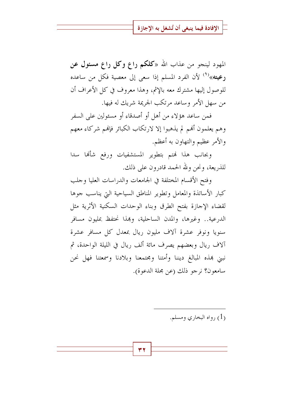المهود لينجو من عذاب الله «كلكم راع وكل راع مسئول عن رعيته»<sup>(١)</sup> لأن الفرد المسلم إذا سعى إلى معصية فكل من ساعده للوصول إليها مشترك معه بالإثم، وهذا معروف في كل الأعراف أن من سهل الأمر وساعد مرتكب الجريمة شريك له فيها.

فمن ساعد هؤلاء من أهل أو أصدقاء أو مسئولين على السفر وهم يعلمون أفهم لم يذهبوا إلا لارتكاب الكبائر فإفمم شركاء معهم والأمر عظيم والتهاون به أعظم.

وبحانب هذا فمتم بتطوير المستشفيات ورفع شأنها سدا للذريعة، ونحن ولله الحمد قادرون على ذلك.

وفتح الأقسام المختلفة في الجامعات والدراسات العليا وحلب كبار الأساتذة والمعامل وتطوير المناطق السياحية التي يناسب جوها لقضاء الإجازة بفتح الطرق وبناء الوحدات السكنية الأثرية مثل الدرعية.. وغيرها، والمدن الساحلية، وهذا نحتفظ بمليون مسافر سنويا ونوفر عشرة آلاف مليون ريال بمعدل كل مسافر عشرة آلاف ريال وبعضهم يصرف مائة ألف ريال في الليلة الواحدة، ثم نبني هذه المبالغ ديننا وأمتنا ومجتمعنا وبلادنا وسمعتنا فهل نحن سامعون؟ نرجو ذلك (عن مجلة الدعوة).

(1) , واه البخاري ومسلم.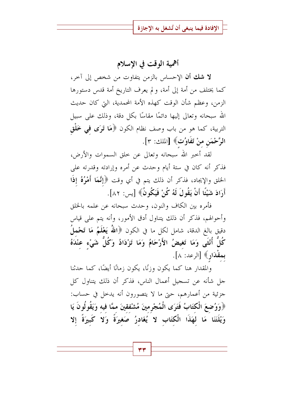أهمية الوقت في الإسلام

لا شك أن الإحساس بالزمن يتفاوت من شخص إلى آخر، كما يختلف من أمة إلى أمة، ولم يعرف التاريخ أمة قدس دستورها الزمن، وعظم شأن الوقت كهذه الأمة المحمدية، التي كان حديث الله سبحانه وتعالى إليها دائمًا مقاسًا بكل دقة، وذلك على سبيل التربية، كما هو من باب وصف نظام الكون ﴿هَا تَوَى فِي خَلْقِ الرَّحْمَنِ منْ تَفَاوُتِ﴾ [الملك: ٣].

لقد أخبر الله سبحانه وتعالى عن خلق السموات والأرض، فذكر أنه كان في ستة أيام وحدث عن أمره وإرادته وقدرته على الخلق والإيجاد، فذكر أن ذلك يتم في أي وقت ﴿إِنَّمَا أَمْرُهُ إِذَا أَرَادَ شَيْئًا أَنْ يَقُولَ لَهُ كُنْ فَيَكُونُ﴾ [يس: ٨٢].

فأمره بين الكاف والنون، وحدث سبحانه عن علمه بالخلق وأحوالهم، فذكر أن ذلك يتناول أدق الأمور، وأنه يتم على قياس دقيق بالغ الدقة، شامل لكل ما في الكون ﴿اللَّهُ يَعْلَمُ مَا تَحْملُ كُلُّ أُنْثَى وَمَا تَغيضُ الأَرْحَامُ وَمَا تَزْدَادُ وَكُلُّ شَيْء عنْدَهُ بمقْدَارٍ﴾ [الرعد: ٨].

والمقدار هنا كما يكون وزِئًا، يكون زمانًا أيضًا، كما حدثنا جل شأنه عن تسجيل أعمال الناس، فذكر أن ذلك يتناول كل جزئية من أعمارِهم، حتى ما لا يتصورون أنه يدخل في حساب: ﴿وَوۡضِعَ الۡكتَابُ فَتَرَى الۡمُجْرِمينَ مُشۡفقينَ ممَّا فيه وَيَقُولُونَ يَا وَيْلَتَنَا مَا لهَذَا الْكتَابِ لا يُغَادِرُ صَغيرَةً وَلا كَبِيرَةً إلا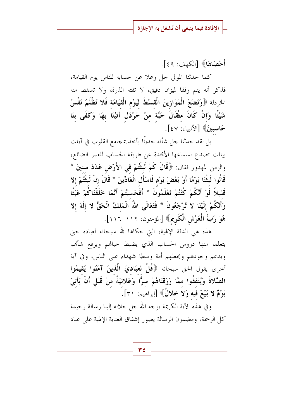أَحْصَاهَا﴾ [الكهف: ٤٩].

كما حدثنا المولى حل وعلا عن حسابه للناس يوم القيامة، فذكر أنه يتم وفقا لميزان دقيق، لا تفته الذرة، ولا تسقط منه الخردلة ﴿وَنَضَعُ الْمَوَازِينَ الْقسْطَ لِيَوْمِ الْقِيَامَةِ فَلا تُظْلَمُ نَفْسٌ شَيْئًا وَإِنْ كَانَ مثْقَالَ حَبَّة منْ خَرْدَل أَتَيْنَا بِهَا وَكَفَى بِنَا حَاسبينَ﴾ [الأنبياء: ٤٧].

بل لقد حدثنا حل شأنه حديثًا يأخذ بمحامع القلوب في آيات بينات تصدع لسماعها الأفئدة عن طريقة الحساب للعمر الضائع، والزمن المهدور فقال: ﴿قَالَ كَمْ لَبِثْتُمْ فِي الأَرْضِ عَدَدَ سِنِينَ \* قَالُوا لَبِثْنَا يَوْمًا أَوْ بَعْضَ يَوْمٍ فَاسْأَلِ الْعَادِّينَ \* قَالَ إنْ لَبِثْتُمْ إِلا قَليلاً لَوْ أَنَّكُمْ كُنْتُمْ تَعْلَمُونَ \* أَفَحَسبْتُمْ أَنَّمَا خَلَقْنَاكُمْ عَبَثًا وَأَنَّكُمْ إِلَيْنَا لا تُرْجَعُونَ \* فَتَعَالَى اللهُ الْمَلكُ الْحَقُّ لا إِلَهَ إِلا هُوَ رَبُّ الْعَرْشِ الْكَرِيمِ﴾ [المؤمنون: ١١٢–١١٦].

هذه هي الدقة الإلهية، التي حكاها لله سبحانه لعباده حتى يتعلما منها دروس الحساب الذي يضبط حياقمم ويرفع شأفمم ويدعم وحودهم ويجعلهم أمة وسطا شهداء على الناس، وفي آية أحرى يقول الحق سبحانه ﴿قُلْ لِعِبَادِيَ الَّذِينَ آمَنُوا يُقِيمُوا الصَّلاةَ وَيُنْفقُوا ممَّا رَزَقْنَاهُمْ سرًّا وَعَلانيَةً منْ قَبْلٍ أَنْ يَأْتِيَ يَوْمٌ لا بَيْعٌ فيه وَلا خلالٌ﴾ [إبراهيم: ٣١].

وفي هذه الآية الكريمة يوحه الله حل حلاله إلينا رسالة رحيمة كل الرحمة، ومضمون الرسالة يصور إشفاق العناية الإلهية على عباد

۳٤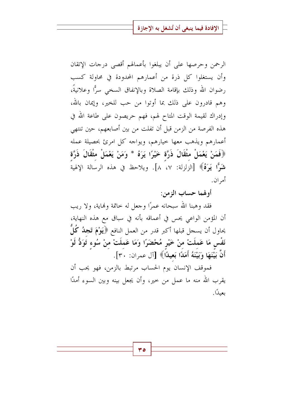الرحمن وحرصها على أن يبلغوا بأعمالهم أقصى درجات الإتقان وأن يستغلوا كل ذرة من أعمارهم المحدودة في محاولة كسب رضوان الله وذلك بإقامة الصلاة وبالإنفاق السخى سرًّا وعلانيةً، وهم قادرون على ذلك بما أوتوا من حب للخير، وإيمان بالله، وإدراك لقيمة الوقت المتاح لهم، فهم حريصون على طاعة الله في هذه الفرصة من الزمن قبل أن تفلت من بين أصابعهم، حين تنتهي أعمارهم ويذهب معها حيارهم، ويواحه كل امرئ بحصيلة عمله ﴿فَمَنْ يَعْمَلْ مِثْقَالَ ذَرَّة خَيْرًا يَرَهُ \* وَمَنْ يَعْمَلْ مِثْقَالَ ذَرَّة شَوًّا يَوَفُّ﴾ [الزلزلة: ٧، ٨]. ويلاحظ في هذه الرسالة الإلهية أمر ان .

أولهما حساب الزمن:

فقد وهبنا الله سبحانه عمرًا وجعل له حاتمة ونماية، ولا ريب أن المؤمن الواعي يحس في أعماقه بأنه في سباق مع هذه النهاية، يحاول أن يسحل قبلها أكبر قدر من العمل النافع ﴿يَوْمَ تَجِلُهُ كُلَّ نَفْس مَا عَملَتْ منْ خَيْرِ مُحْضَرًا وَمَا عَملَتْ منْ سُوء تَوَدُّ لَوْ أَنَّ بَيْنَهَا وَبَيْنَهُ أَمَلَاا بَعِيدًا﴾ [آل عمران: ٣٠].

فموقف الإنسان يوم الحساب مرتبط بالزمن، فهو يحب أن يقرب الله منه ما عمل من حير، وأن يجعل بينه وبين السوء أمدًا ىعىدًا.

ه ۳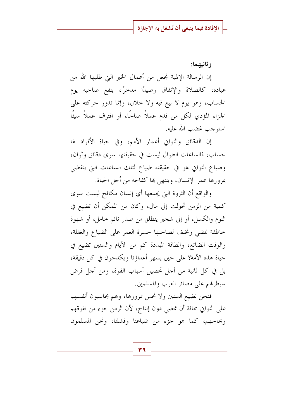و ثانيهما:

إن الرسالة الإلهية تجعل من أعمال الخير التي طلبها الله من عباده، كالصلاة والإنفاق رصيدًا مدخرًا، ينفع صاحبه يوم الحساب، وهو يوم لا بيع فيه ولا خلال، وإنما تدور حركته على الجزاء المؤدي لكلِّ من قدم عملاً صالحًا، أو اقترف عملاً سيئًا استوجب غضب الله عليه.

إن الدقائق والثوابي أعمار الأمم، وفي حياة الأفراد لها حساب، فالساعات الطوال ليست في حقيقتها سوى دقائق وثوان، وضياع الثوابي هو في حقيقته ضياع لتلك الساعات التي ينقضى بمرورها عمر الإنسان، وينتهي ها كفاحه من أحل الحياة.

والواقع أن الثروة التي يجمعها أي إنسان مكافح ليست سوى كمية من الزمن تحولت إلى مال، وكان من الممكن أن تضيع في النوم والكسل، أو إلى شخير ينطلق من صدر نائم خامل، أو شهوة حاطفة تمضى وتخلف لصاحبها حسرة العمر على الضياع والغفلة، والوقت الضائع، والطاقة المبددة كم من الأيام والسنين تضيع في حياة هذه الأمة؟ على حين يسهر أعداؤنا ويكدحون في كل دقيقة، بل في كل ثانية من أجل تحصيل أسباب القوة، ومن أجل فرض سيطرقم على مصائر العرب والمسلمين.

فنحن نضيع السنين ولا نحس بمرورها، وهم يحاسبون أنفسهم على الثواني مخافة أن تمضي دون إنتاج، لأن الزمن جزء من تفوقهم ونجاحهم، كما هو جزء من ضياعنا وفشلنا، ونحن المسلمون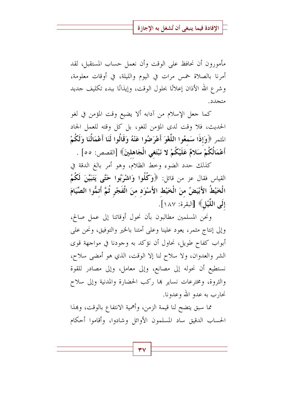مأمورون أن نحافظ على الوقت وأن نعمل حساب المستقبل، لقد أمرنا بالصلاة خمس مرات في اليوم والليلة، في أوقات معلومة، وشرع الله الأذان إعلانًا بحلول الوقت، وإيذانًا ببدء تكليف حديد متجدد.

كما جعل الإسلام من آدابه ألا يضيع وقت المؤمن في لغو الحديث، فلا وقت لدى المؤمن للغو، بل كل وقته للعمل الجاد المثمر ﴿وَإِذَا سَمِعُوا اللَّغْوَ أَعْرَضُوا عَنْهُ وَقَالُوا لَنَا أَعْمَالُنَا وَلَكُمْ أَعْمَالُكُمْ سَلامٌ عَلَيْكُمْ لا نَبْتَغى الْجَاهلينَ﴾ [القصص: ٥٥] .

كذلك حدد الضوء وحط الظلام، وهو أمر بالغ الدقة في القياس فقال عز من قائل: ﴿وَكُلُوا وَاشْرَبُوا حَتَّى يَتَبَيَّنَ لَكُمُ الْخَيْطُ الأَبْيَضُ منَ الْخَيْطِ الأَسْوَدِ منَ الْفَجْرِ ثُمَّ أَتمُّوا الصِّيَامَ إِلَى اللَّيْلِ﴾ [البقرة: ١٨٧].

ونحن المسلمين مطالبون بأن نحول أوقاتنا إلى عمل صالح، وإلى إنتاج مثمر، يعود علينا وعلى أمتنا بالخير والتوفيق، ونحن على أبواب كفاح طويل، نحاول أن نؤكد به وجودنا في مواجهة قوى الشر والعدوان، ولا سلاح لنا إلا الوقت، الذي هو أمضى سلاح، نستطيع أن نحوله إلى مصانع، وإلى معامل، وإلى مصادر للقوة والثروة، ومخترعات نساير ها ركب الحضارة والمدنية وإلى سلاح نحارب به عدو الله وعدونا.

مما سبق يتضح لنا قيمة الزمن، وأهمية الانتفاع بالوقت، وبمذا الحساب الدقيق ساد المسلمون الأوائل وشادوا، وأقاموا أحكام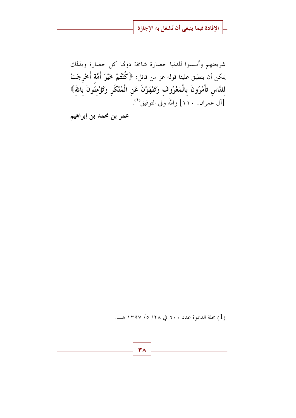شريعتهم وأسسوا للدنيا حضارة شامخة دولها كل حضارة وبذلك يمكن أن ينطبق علينا قوله عز من قائل: ﴿كُنْتُمْ خَيْرَ أُمَّة أُخْرِجَتْ لِلنَّاسِ تَأْمُرُونَ بِالْمَعْرُوفِ وَتَنْهَوْنَ عَنِ الْمُنْكَرِ وَتُؤْمِنُونَ بِاللهِ﴾ [آل عمران: ١١٠] والله ولي التوفيق<sup>(١</sup>).

عمر بن محمد بن إبراهيم

(1) بحلة الدعوة عدد ٢٠٠ في ٢٨/ ٥/ ١٣٩٧ هـ.

٣٨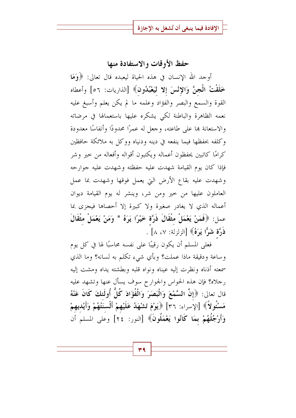### حفظ الأوقات والاستفادة منها

أوجد الله الإنسان في هذه الحياة ليعبده قال تعالى: ﴿وَهَا خَلَقْتُ الْجنَّ وَالإِنْسَ إِلا لَيَعْبُدُونَ﴾ [الذاريات: ٥٦] وأعطاه القوة والسمع والبصر والفؤاد وعلمه ما لم يكن يعلم وأسبغ عليه نعمه الظاهرة والباطنة لكي يشكره عليها باستعمالها في مرضاته والاستعانة بما على طاعته، وجعل له عمرًا محدودًا وأنفاسًا معدودة وكلفه بحفظها فيما ينفعه في دينه ودنياه ووكل به ملائكة حافظين كرامًا كاتبين يحفظون أعماله ويكتبون أقواله وأفعاله من حير وشر فإذا كان يوم القيامة شهدت عليه حفظته وشهدت عليه جوارحه وشهدت عليه بقاع الأرض التي يعمل فوقها وشهدت بما عمل العاملون عليها من حير ومن شر، وينشر له يوم القيامة ديوان أعماله الذي لا يغادر صغيرة ولا كبيرة إلا أحصاها فيجزى بما عمل: ﴿فَمَنْ يَعْمَلْ مِثْقَالَ ذَرَّة خَيْرًا يَرَهُ \* وَمَنْ يَعْمَلْ مِثْقَالَ ذَرَّة شَرًّا يَرَهُ﴾ [الزلزلة: ٧، ٨] .

فعلي المسلم أن يكون رقيبًا على نفسه محاسبًا لها في كل يوم وساعة ودقيقة ماذا عملت؟ وبأي شيء تكلم به لسانه؟ وما الذي سمعته أذناه ونظرت إليه عيناه ونواه قلبه وبطشته يداه ومشت إليه رحلاه؟ فإن هذه الحواس والجوارح سوف يسأل عنها وتشهد عليه قال تعالى: ﴿إِنَّ السَّمْعَ وَالْبَصَرَ وَالْفُؤَادَ كُلُّ أُولَئِكَ كَانَ عَنْهُ مَسْئُولاً﴾ [الإسراء: ٣٦] ﴿يَوْمَ تَشْهَدُ عَلَيْهِمْ أَلْسنَتُهُمْ وَأَيْدِيهِمْ وَأَرْجُلُهُمْ بِمَا كَانُوا يَعْمَلُونَ﴾ [النور: ٢٤] وعلى المسلم أن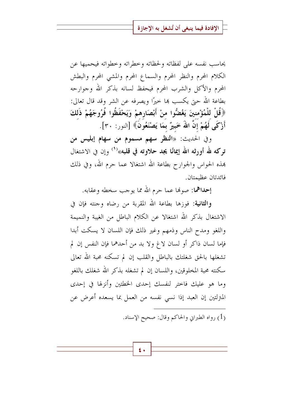يحاسب نفسه على لفظاته ولحظاته وحطراته وحطواته فيحميها عن الكلام المحرم والنظر المحرم والسماع المحرم والمشي المحرم والبطش المحرم والأكل والشرب المحرم فيحفظ لسانه بذكر الله وجوارحه بطاعة الله حيّ يكسب ها حيرًا ويصرفه عن الشر وقد قال تعالى: ﴿قُلْ لِلْمُؤْمِنِينَ يَغْضُّوا منْ أَبْصَارِهِمْ وَيَحْفَظُوا فُرُوجَهُمْ ذَلِكَ أَزْكَى لَهُمْ إِنَّ اللهَ خَبيرٌ بمَا يَصْنَعُونَ﴾ [النور: ٣٠].

وفي الحديث: «النظر سهم مسموم من سهام إبليس من تركه لله أورثه الله إيمانًا يجد حلاوته في قلبه»<sup>(١)</sup> وإن في الاشتغال هذه الحواس والجوارح بطاعة الله اشتغالا عما حرم الله، وفي ذلك فائدتان عظيمتان.

إحداهما: صونها عما حرم الله مما يوحب سخطه وعقابه.

و**الثانية:** فوزها بطاعة الله المقربة من رضاه وجنته فإن في الاشتغال بذكر الله اشتغالا عن الكلام الباطل من الغيبة والنميمة واللغو ومدح الناس وذمهم وغير ذلك فإن اللسان لا يسكت أبدا فإما لسان ذاكر أو لسان لاغ ولا بد من أحدهما فإن النفس إن لم تشغلها بالحق شغلتك بالباطل والقلب إن لم تسكنه محبة الله تعالى سكنته محبة المخلوقين، واللسان إن لم تشغله بذكر الله شغلك باللغو وما هو عليك فاحتر لنفسك إحدى الخطتين وأنزلها في إحدى المتزلتين إن العبد إذا نسبي نفسه من العمل بما يسعده أعرض عن

(1) , واه الطيراني والحاكم وقال: صحيح الإسناد.

۰ ع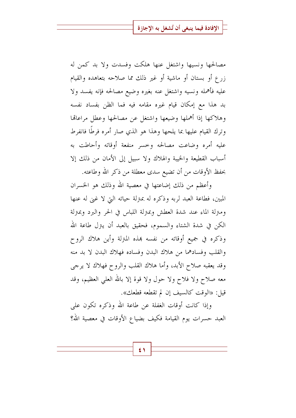مصالحها ونسيها واشتغل عنها هلكت وفسدت ولا بد كمن له زرع أو بستان أو ماشية أو غير ذلك مما صلاحه بتعاهده والقيام عليه فأهمله ونسيه واشتغل عنه بغيره وضيع مصالحه فإنه يفسد ولا بد هذا مع إمكان قيام غيره مقامه فيه فما الظن بفساد نفسه وهلاكها إذا أهملها وضيعها واشتغل عن مصالحها وعطل مراعاقما وترك القيام عليها بما يلحها وهذا هو الذي صار أمره فرطًا فانفرط عليه أمره وضاعت مصالحه وحسر منفعة أوقاته وأحاطت به أسباب القطيعة والخيبة والهلاك ولا سبيل إلى الأمان من ذلك إلا بحفظ الأوقات من أن تضيع سدى معطلة من ذكر الله وطاعته.

وأعظم من ذلك إضاعتها في معصية الله وذلك هو الخسران المبين، فطاعة العبد لربه وذكره له بمترلة حياته التي لا غني له عنها ومنزلة الماء عند شدة العطش وبمترلة اللباس في الحر والبرد وبمنزلة الكن في شدة الشتاء والسموم، فحقيق بالعبد أن يترل طاعة الله وذكره في جميع أوقاته من نفسه بمذه المترلة وأين هلاك الروح والقلب وفسادهما من هلاك البدن وفساده فهلاك البدن لا بد منه وقد يعقبه صلاح الأبد، وأما هلاك القلب والروح فهلاك لا يرجى معه صلاح ولا فلاح ولا حول ولا قوة إلا بالله العلى العظيم، وقد قيل: «الوقت كالسيف إن لم تقطعه قطعك».

وإذا كانت أوقات الغفلة عن طاعة الله وذكره تكون على العبد حسرات يوم القيامة فكيف بضياع الأوقات في معصية الله؟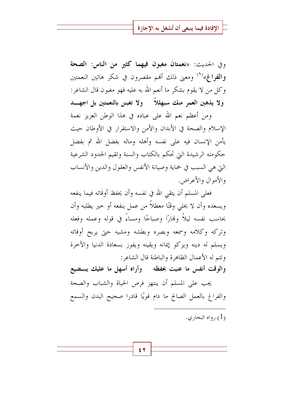وفي الحديث: «نعمتان مغبون فيهما كثير من الناس: الصحة وا**لفر**اغ»<sup>(١)</sup> ومعنى ذلك أنهم مقصرون في شكر هاتين النعمتين وكل من لا يقوم بشكر ما أنعم الله به عليه فهو مغبون قال الشاعر: ولا يذهبن العمر منك سبهللاً ولا تغبنن بالنعمتين بل اجهـــد

ومن أعظم نعم الله على عباده في هذا الوطن العزيز نعمة الإسلام والصحة في الأبدان والأمن والاستقرار في الأوطان حيث يأمن الإنسان فيه على نفسه وأهله وماله بفضل الله ثم بفضل حكومته الرشيدة التي تحكم بالكتاب والسنة وتقيم الحدود الشرعية التي هي السبب في حماية وصيانة الأنفس والعقول والدين والأنساب والأموال والأعراض.

فعلى المسلم أن يتقى الله في نفسه وأن يحفظ أوقاته فيما ينفعه ويسعده وأن لا يخلي وقتًا معطلاً من عمل ينفعه أو حير يطلبه وأن يحاسب نفسه ليلاً وفمارًا وصباحًا ومساءً في قوله وعمله وفعله وتركه وكلامه وسمعه وبصره وبطشه ومشيه حتى يربح أوقاته ويسلم له دينه ويزكو إيمانه ويقينه ويفوز بسعادة الدنيا والآخرة وتتم له الأعمال الظاهرة والباطنة قال الشاعر :

والوقت أنفس ما عنيت بحفظه ﴿ وَأَرَاهُ أَسْهَلَ مَا عَلَيْكَ يَـــضيعُ

يجب على المسلم أن ينتهز فرص الحياة والشباب والصحة والفراغ بالعمل الصالح ما دام قويًا قادرا صحيح البدن والسمع

رواه البخاري.  $(1)$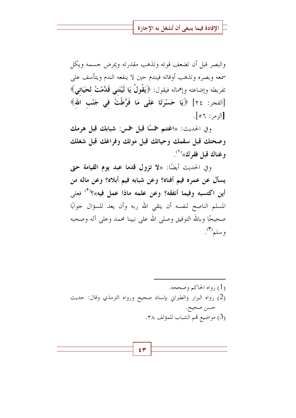والبصر قبل أن تضعف قوته وتذهب مقدرته ويمرض جسمه ويكل سمعه وبصره وتذهب أوقاته فيندم حين لا ينفعه الندم ويتأسف على تفريطه وإضاعته وإهماله فيقول: ﴿يَقُولُ يَا لَيْتَنِي قَدَّمْتُ لِحَيَاتِيِ﴾ [الفجر: ٢٤] ﴿يَا حَسْرَتَا عَلَى مَا فَرَّطْتُ فِي جَنْبِ اللهِ﴾  $[$ الزمر :  $\mathcal{F}$ 0].

وفي الحديث: «اغتنم خمسًا قبل خمس: شبابك قبل هرمك وصحتك قبل سقمك وحياتك قبل موتك وفراغك قبل شغلك وغناك قبل فقرك»<sup>(١)</sup>.

وفي الحديث أيضًا: «لا تزول قدما عبد يوم القيامة حتى يسأل عن عمره فيم أفناه؟ وعن شبابه فيم أبلاه؟ وعن ماله من أين اكتسبه وفيما أنفقه؟ وعن علمه ماذا عمل فيه»؟<sup>(٢)</sup> فعلى المسلم الناصح لنفسه أن يتقى الله ربه وأن يعد للسؤال جوابًا صحيحًا وبالله التوفيق وصلى الله على نبينا محمد وعلى آله وصحبه وسلم".

(1) د واه الحاكيږ وصححه. (2) رواه البزار والطبراني بإسناد صحيح ورواه الترمذي وقال: حديث حسن صحيح. (3) مواضيع قمم الشباب للمؤلف ٣٨.

$$
\left\lceil \frac{\epsilon}{\sqrt{2\pi}}\right\rceil
$$